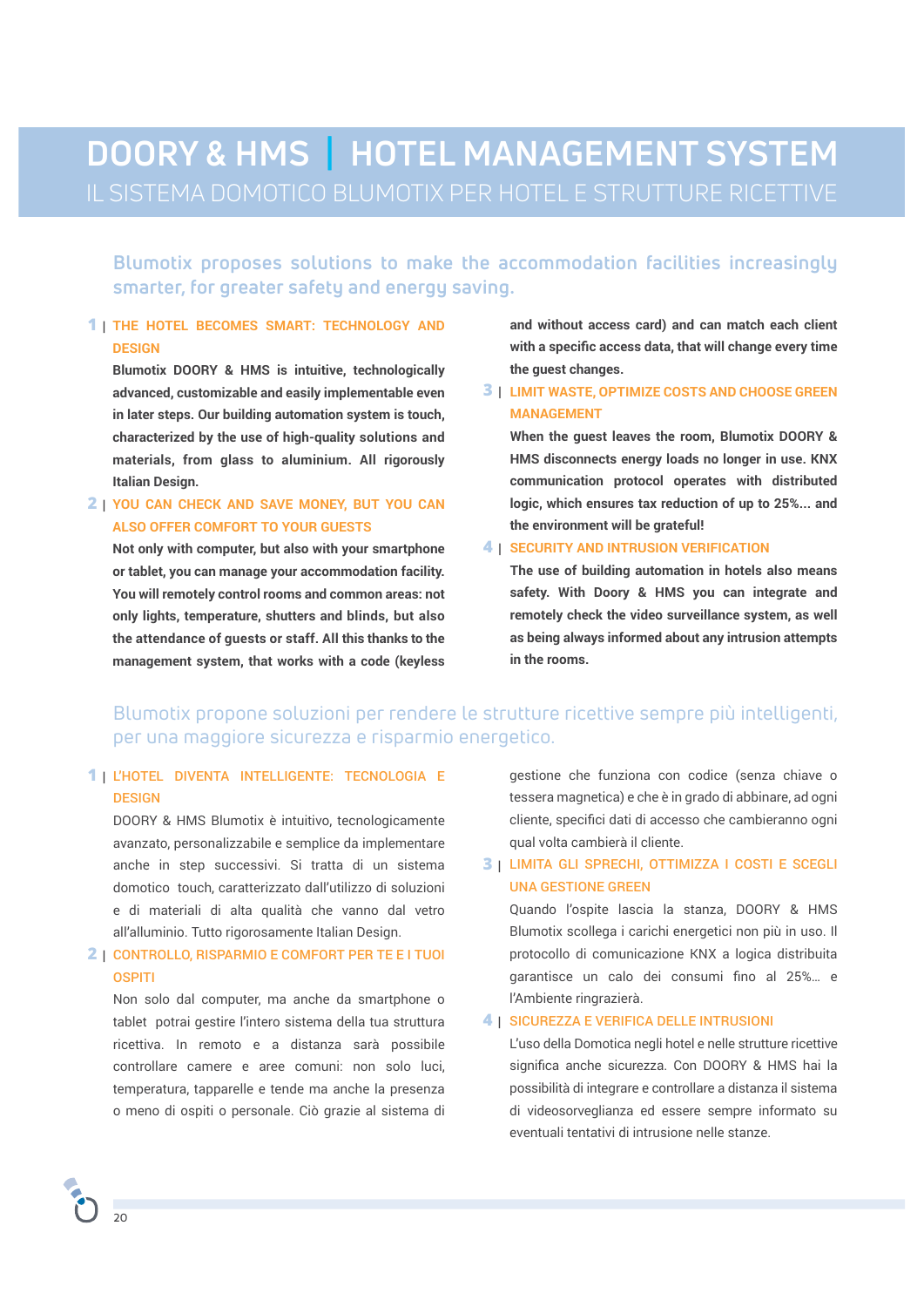# **DOORY & HMS | HOTEL MANAGEMENT SYSTEM**

**Blumotix proposes solutions to make the accommodation facilities increasingly smarter, for greater safety and energy saving.** 

#### **THE HOTEL BECOMES SMART: TECHNOLOGY AND 1 | DESIGN**

**Blumotix DOORY & HMS is intuitive, technologically advanced, customizable and easily implementable even in later steps. Our building automation system is touch, characterized by the use of high-quality solutions and materials, from glass to aluminium. All rigorously Italian Design.**

#### **YOU CAN CHECK AND SAVE MONEY, BUT YOU CAN 2 | ALSO OFFER COMFORT TO YOUR GUESTS**

**Not only with computer, but also with your smartphone or tablet, you can manage your accommodation facility. You will remotely control rooms and common areas: not only lights, temperature, shutters and blinds, but also the attendance of guests or staff. All this thanks to the management system, that works with a code (keyless**  **and without access card) and can match each client with a specifc access data, that will change every time the guest changes.** 

#### **3 | LIMIT WASTE, OPTIMIZE COSTS AND CHOOSE GREEN MANAGEMENT**

**When the guest leaves the room, Blumotix DOORY & HMS disconnects energy loads no longer in use. KNX communication protocol operates with distributed logic, which ensures tax reduction of up to 25%... and the environment will be grateful!**

#### **4 | SECURITY AND INTRUSION VERIFICATION**

**The use of building automation in hotels also means safety. With Doory & HMS you can integrate and remotely check the video surveillance system, as well as being always informed about any intrusion attempts in the rooms.**

## Blumotix propone soluzioni per rendere le strutture ricettive sempre più intelligenti, per una maggiore sicurezza e risparmio energetico.

#### L'HOTEL DIVENTA INTELLIGENTE: TECNOLOGIA E **1 | DESIGN**

DOORY & HMS Blumotix è intuitivo, tecnologicamente avanzato, personalizzabile e semplice da implementare anche in step successivi. Si tratta di un sistema domotico touch, caratterizzato dall'utilizzo di soluzioni e di materiali di alta qualità che vanno dal vetro all'alluminio. Tutto rigorosamente Italian Design.

#### CONTROLLO, RISPARMIO E COMFORT PER TE E I TUOI **2 | OSPITI**

Non solo dal computer, ma anche da smartphone o tablet potrai gestire l'intero sistema della tua struttura ricettiva. In remoto e a distanza sarà possibile controllare camere e aree comuni: non solo luci, temperatura, tapparelle e tende ma anche la presenza o meno di ospiti o personale. Ciò grazie al sistema di gestione che funziona con codice (senza chiave o tessera magnetica) e che è in grado di abbinare, ad ogni cliente, specifci dati di accesso che cambieranno ogni qual volta cambierà il cliente.

#### **3 |** LIMITA GLI SPRECHI, OTTIMIZZA I COSTI E SCEGLI UNA GESTIONE GREEN

Quando l'ospite lascia la stanza, DOORY & HMS Blumotix scollega i carichi energetici non più in uso. Il protocollo di comunicazione KNX a logica distribuita garantisce un calo dei consumi fno al 25%… e l'Ambiente ringrazierà.

#### **4 |** SICUREZZA E VERIFICA DELLE INTRUSIONI

L'uso della Domotica negli hotel e nelle strutture ricettive signifca anche sicurezza. Con DOORY & HMS hai la possibilità di integrare e controllare a distanza il sistema di videosorveglianza ed essere sempre informato su eventuali tentativi di intrusione nelle stanze.